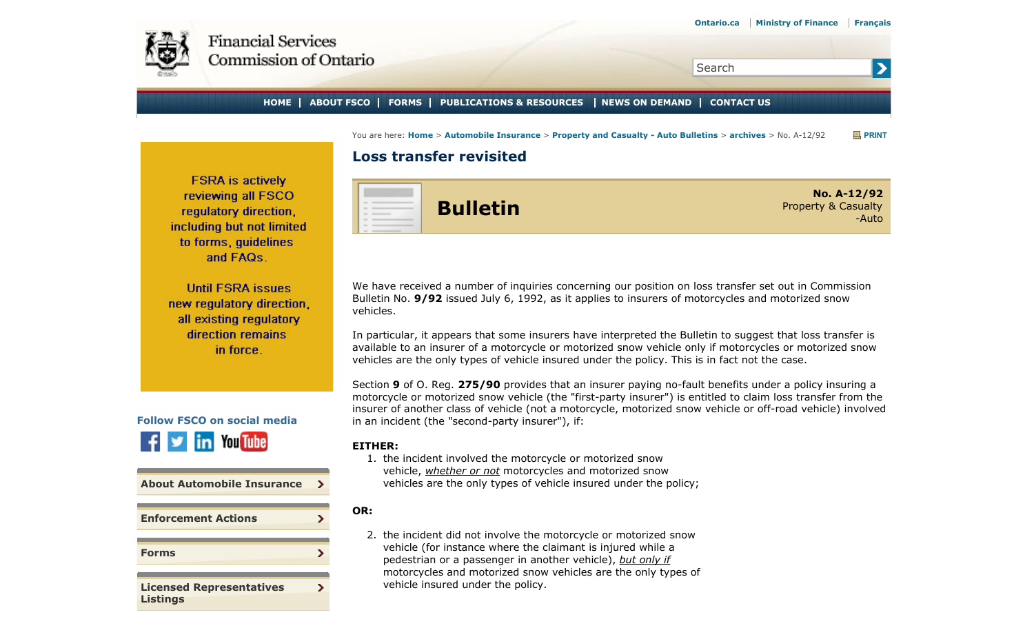<span id="page-0-0"></span>

## Search

## **HOME ABOUT FSCO FORMS PUBLICATIONS & RESOURCES NEWS ON DEMAND CONTACT US**

You are here: **Home** > **Automobile Insurance** > **Property and Casualty - Auto Bulletins** > **archives** > No. A-12/92 **PRINT**

## **Loss transfer revisited**

**FSRA** is actively reviewing all FSCO regulatory direction. including but not limited to forms, quidelines and FAQs.

**Until FSRA issues** new regulatory direction. all existing regulatory direction remains in force.



| <b>About Automobile Insurance</b>                  |  |
|----------------------------------------------------|--|
| <b>Enforcement Actions</b>                         |  |
|                                                    |  |
| <b>Forms</b>                                       |  |
|                                                    |  |
| <b>Licensed Representatives</b><br><b>Listings</b> |  |



**Bulletin**

**No. A-12/92** Property & Casualty -Auto

 $\blacktriangleright$ 

We have received a number of inquiries concerning our position on loss transfer set out in Commission Bulletin No. **9/92** issued July 6, 1992, as it applies to insurers of motorcycles and motorized snow vehicles.

In particular, it appears that some insurers have interpreted the Bulletin to suggest that loss transfer is available to an insurer of a motorcycle or motorized snow vehicle only if motorcycles or motorized snow vehicles are the only types of vehicle insured under the policy. This is in fact not the case.

Section **9** of O. Reg. **275/90** provides that an insurer paying no-fault benefits under a policy insuring a motorcycle or motorized snow vehicle (the "first-party insurer") is entitled to claim loss transfer from the insurer of another class of vehicle (not a motorcycle, motorized snow vehicle or off-road vehicle) involved in an incident (the "second-party insurer"), if:

## **EITHER:**

1. the incident involved the motorcycle or motorized snow vehicle, *whether or not* motorcycles and motorized snow vehicles are the only types of vehicle insured under the policy;

**OR:**

2. the incident did not involve the motorcycle or motorized snow vehicle (for instance where the claimant is injured while a pedestrian or a passenger in another vehicle), *but only if* motorcycles and motorized snow vehicles are the only types of vehicle insured under the policy.